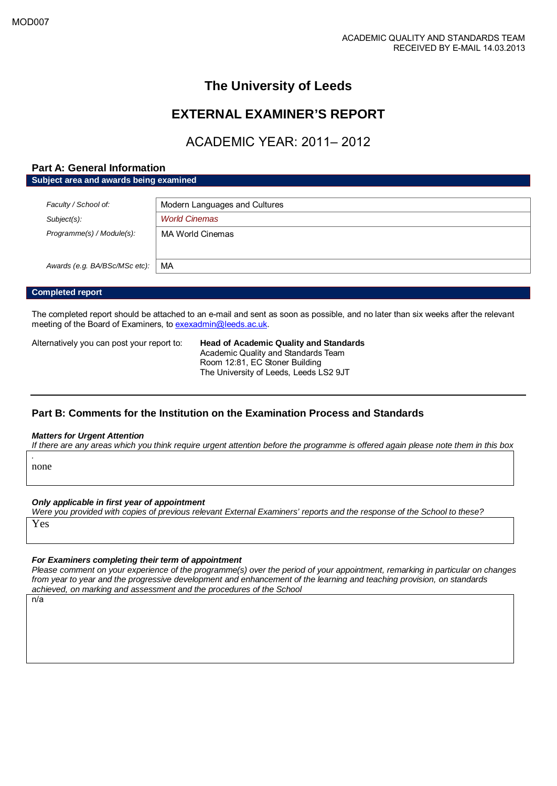## **The University of Leeds**

## **EXTERNAL EXAMINER'S REPORT**

## ACADEMIC YEAR: 2011– 2012

### **Part A: General Information**

**Subject area and awards being examined**

| Faculty / School of:          | Modern Languages and Cultures |
|-------------------------------|-------------------------------|
| $Subject(s)$ :                | <b>World Cinemas</b>          |
| Programme(s) / Module(s):     | MA World Cinemas              |
|                               |                               |
| Awards (e.g. BA/BSc/MSc etc): | MA                            |
|                               |                               |

#### **Completed report**

The completed report should be attached to an e-mail and sent as soon as possible, and no later than six weeks after the relevant meeting of the Board of Examiners, t[o exexadmin@leeds.ac.uk.](mailto:exexadmin@leeds.ac.uk)

Alternatively you can post your report to: **Head of Academic Quality and Standards**

Academic Quality and Standards Team Room 12:81, EC Stoner Building The University of Leeds, Leeds LS2 9JT

### **Part B: Comments for the Institution on the Examination Process and Standards**

#### *Matters for Urgent Attention*

*If there are any areas which you think require urgent attention before the programme is offered again please note them in this box*

*.* none

#### *Only applicable in first year of appointment*

*Were you provided with copies of previous relevant External Examiners' reports and the response of the School to these?* 

Yes

#### *For Examiners completing their term of appointment*

*Please comment on your experience of the programme(s) over the period of your appointment, remarking in particular on changes from year to year and the progressive development and enhancement of the learning and teaching provision, on standards achieved, on marking and assessment and the procedures of the School*

n/a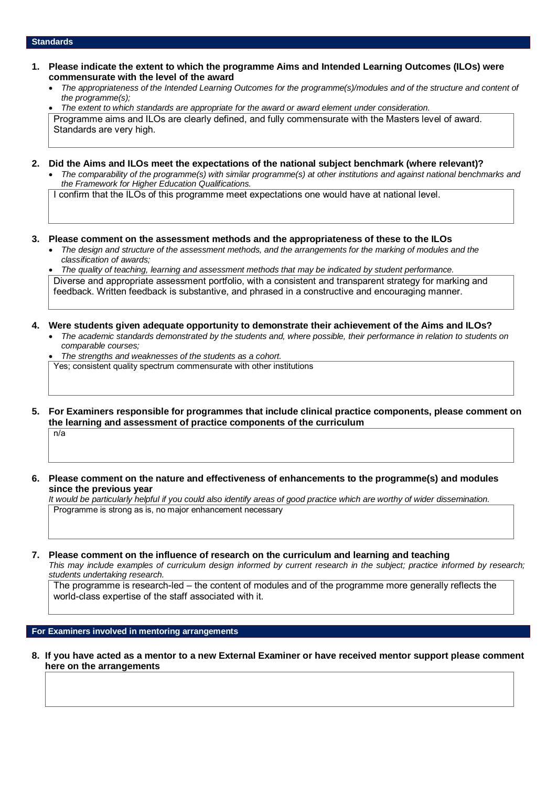#### **Standards**

- **1. Please indicate the extent to which the programme Aims and Intended Learning Outcomes (ILOs) were commensurate with the level of the award**
	- *The appropriateness of the Intended Learning Outcomes for the programme(s)/modules and of the structure and content of the programme(s);*

• *The extent to which standards are appropriate for the award or award element under consideration.* Programme aims and ILOs are clearly defined, and fully commensurate with the Masters level of award. Standards are very high.

- **2. Did the Aims and ILOs meet the expectations of the national subject benchmark (where relevant)?**
	- *The comparability of the programme(s) with similar programme(s) at other institutions and against national benchmarks and the Framework for Higher Education Qualifications.*

I confirm that the ILOs of this programme meet expectations one would have at national level.

- **3. Please comment on the assessment methods and the appropriateness of these to the ILOs**
	- *The design and structure of the assessment methods, and the arrangements for the marking of modules and the classification of awards;*

• *The quality of teaching, learning and assessment methods that may be indicated by student performance.* Diverse and appropriate assessment portfolio, with a consistent and transparent strategy for marking and feedback. Written feedback is substantive, and phrased in a constructive and encouraging manner.

#### **4. Were students given adequate opportunity to demonstrate their achievement of the Aims and ILOs?**

- *The academic standards demonstrated by the students and, where possible, their performance in relation to students on comparable courses;*
- *The strengths and weaknesses of the students as a cohort.*

Yes; consistent quality spectrum commensurate with other institutions

**5. For Examiners responsible for programmes that include clinical practice components, please comment on the learning and assessment of practice components of the curriculum**

 $n/a$ 

**6. Please comment on the nature and effectiveness of enhancements to the programme(s) and modules since the previous year**

*It would be particularly helpful if you could also identify areas of good practice which are worthy of wider dissemination.*  Programme is strong as is, no major enhancement necessary

**7. Please comment on the influence of research on the curriculum and learning and teaching**

*This may include examples of curriculum design informed by current research in the subject; practice informed by research; students undertaking research.* 

The programme is research-led – the content of modules and of the programme more generally reflects the world-class expertise of the staff associated with it.

#### **For Examiners involved in mentoring arrangements**

**8. If you have acted as a mentor to a new External Examiner or have received mentor support please comment here on the arrangements**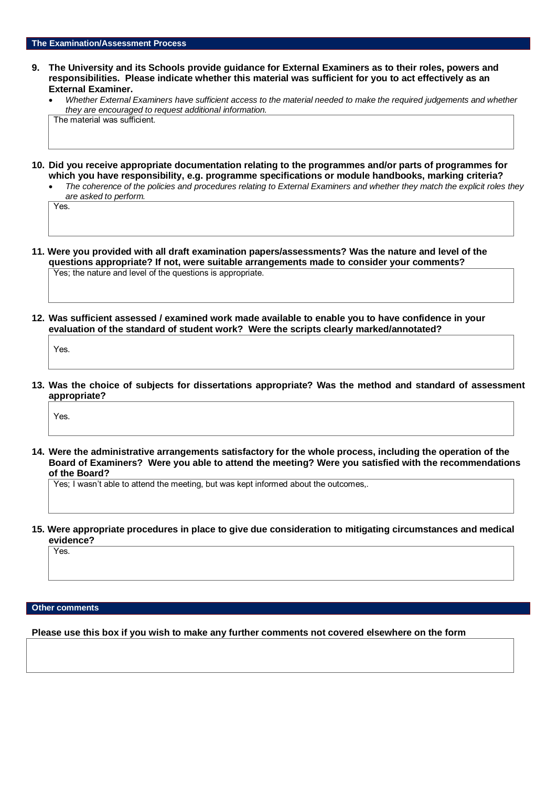- **9. The University and its Schools provide guidance for External Examiners as to their roles, powers and responsibilities. Please indicate whether this material was sufficient for you to act effectively as an External Examiner.**
	- *Whether External Examiners have sufficient access to the material needed to make the required judgements and whether they are encouraged to request additional information.* The material was sufficient.
- **10. Did you receive appropriate documentation relating to the programmes and/or parts of programmes for which you have responsibility, e.g. programme specifications or module handbooks, marking criteria?**
	- *The coherence of the policies and procedures relating to External Examiners and whether they match the explicit roles they are asked to perform.*

Yes.

**11. Were you provided with all draft examination papers/assessments? Was the nature and level of the questions appropriate? If not, were suitable arrangements made to consider your comments?** Yes; the nature and level of the questions is appropriate.

**12. Was sufficient assessed / examined work made available to enable you to have confidence in your evaluation of the standard of student work? Were the scripts clearly marked/annotated?** 

Yes.

**13. Was the choice of subjects for dissertations appropriate? Was the method and standard of assessment appropriate?**

Yes.

**14. Were the administrative arrangements satisfactory for the whole process, including the operation of the Board of Examiners? Were you able to attend the meeting? Were you satisfied with the recommendations of the Board?**

Yes; I wasn't able to attend the meeting, but was kept informed about the outcomes,.

**15. Were appropriate procedures in place to give due consideration to mitigating circumstances and medical evidence?**

Yes.

#### **Other comments**

**Please use this box if you wish to make any further comments not covered elsewhere on the form**